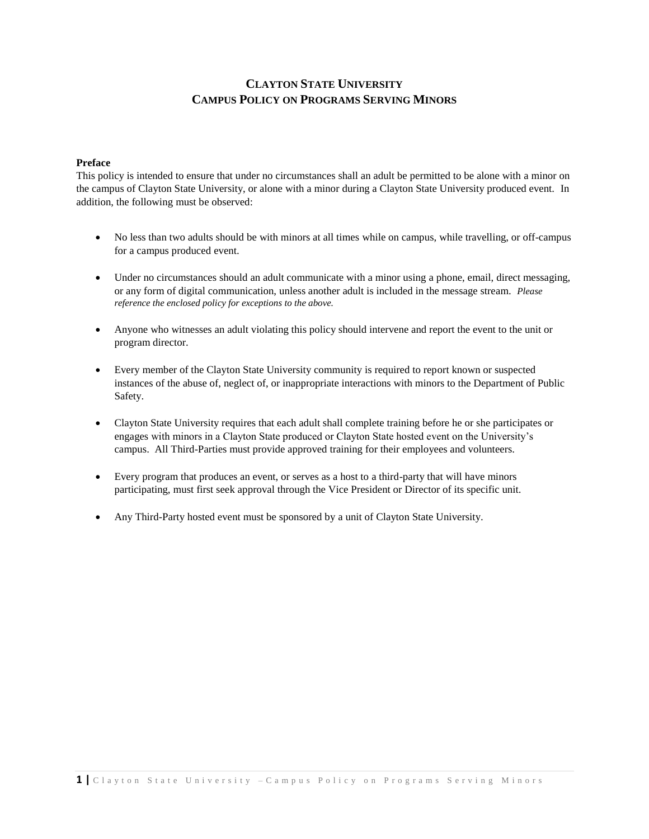#### **Preface**

This policy is intended to ensure that under no circumstances shall an adult be permitted to be alone with a minor on the campus of Clayton State University, or alone with a minor during a Clayton State University produced event. In addition, the following must be observed:

- No less than two adults should be with minors at all times while on campus, while travelling, or off-campus for a campus produced event.
- Under no circumstances should an adult communicate with a minor using a phone, email, direct messaging, or any form of digital communication, unless another adult is included in the message stream. *Please reference the enclosed policy for exceptions to the above.*
- Anyone who witnesses an adult violating this policy should intervene and report the event to the unit or program director.
- Every member of the Clayton State University community is required to report known or suspected instances of the abuse of, neglect of, or inappropriate interactions with minors to the Department of Public Safety.
- Clayton State University requires that each adult shall complete training before he or she participates or engages with minors in a Clayton State produced or Clayton State hosted event on the University's campus. All Third-Parties must provide approved training for their employees and volunteers.
- Every program that produces an event, or serves as a host to a third-party that will have minors participating, must first seek approval through the Vice President or Director of its specific unit.
- Any Third-Party hosted event must be sponsored by a unit of Clayton State University.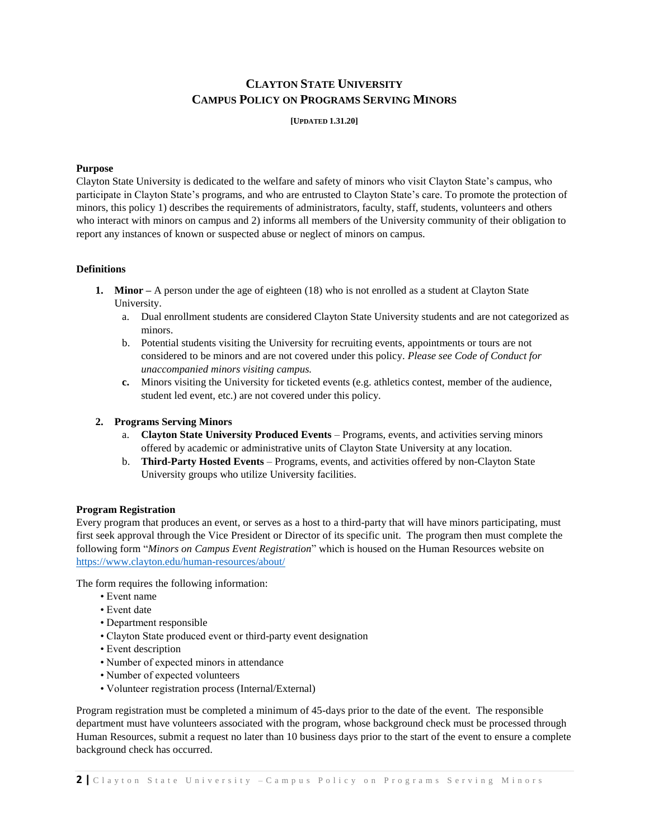**[UPDATED 1.31.20]**

## **Purpose**

Clayton State University is dedicated to the welfare and safety of minors who visit Clayton State's campus, who participate in Clayton State's programs, and who are entrusted to Clayton State's care. To promote the protection of minors, this policy 1) describes the requirements of administrators, faculty, staff, students, volunteers and others who interact with minors on campus and 2) informs all members of the University community of their obligation to report any instances of known or suspected abuse or neglect of minors on campus.

#### **Definitions**

- **1. Minor –** A person under the age of eighteen (18) who is not enrolled as a student at Clayton State University.
	- a. Dual enrollment students are considered Clayton State University students and are not categorized as minors.
	- b. Potential students visiting the University for recruiting events, appointments or tours are not considered to be minors and are not covered under this policy. *Please see Code of Conduct for unaccompanied minors visiting campus.*
	- **c.** Minors visiting the University for ticketed events (e.g. athletics contest, member of the audience, student led event, etc.) are not covered under this policy.

## **2. Programs Serving Minors**

- a. **Clayton State University Produced Events** Programs, events, and activities serving minors offered by academic or administrative units of Clayton State University at any location.
- b. **Third-Party Hosted Events** Programs, events, and activities offered by non-Clayton State University groups who utilize University facilities.

## **Program Registration**

Every program that produces an event, or serves as a host to a third-party that will have minors participating, must first seek approval through the Vice President or Director of its specific unit. The program then must complete the following form "*Minors on Campus Event Registration*" which is housed on the Human Resources website on <https://www.clayton.edu/human-resources/about/>

The form requires the following information:

- Event name
- Event date
- Department responsible
- Clayton State produced event or third-party event designation
- Event description
- Number of expected minors in attendance
- Number of expected volunteers
- Volunteer registration process (Internal/External)

Program registration must be completed a minimum of 45-days prior to the date of the event. The responsible department must have volunteers associated with the program, whose background check must be processed through Human Resources, submit a request no later than 10 business days prior to the start of the event to ensure a complete background check has occurred.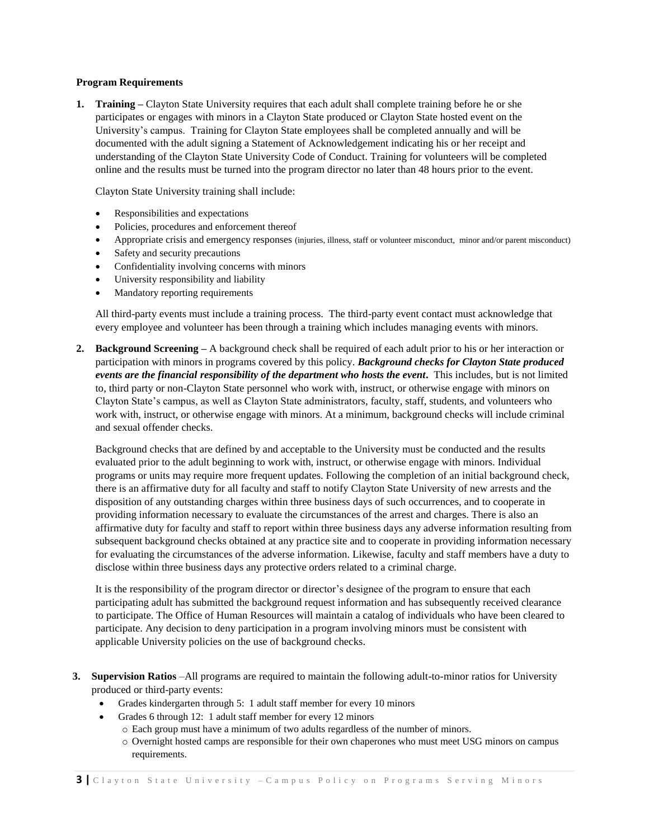#### **Program Requirements**

**1. Training –** Clayton State University requires that each adult shall complete training before he or she participates or engages with minors in a Clayton State produced or Clayton State hosted event on the University's campus. Training for Clayton State employees shall be completed annually and will be documented with the adult signing a Statement of Acknowledgement indicating his or her receipt and understanding of the Clayton State University Code of Conduct. Training for volunteers will be completed online and the results must be turned into the program director no later than 48 hours prior to the event.

Clayton State University training shall include:

- Responsibilities and expectations
- Policies, procedures and enforcement thereof
- Appropriate crisis and emergency responses (injuries, illness, staff or volunteer misconduct, minor and/or parent misconduct)
- Safety and security precautions
- Confidentiality involving concerns with minors
- University responsibility and liability
- Mandatory reporting requirements

All third-party events must include a training process. The third-party event contact must acknowledge that every employee and volunteer has been through a training which includes managing events with minors.

**2. Background Screening –** A background check shall be required of each adult prior to his or her interaction or participation with minors in programs covered by this policy. *Background checks for Clayton State produced events are the financial responsibility of the department who hosts the event***.** This includes, but is not limited to, third party or non-Clayton State personnel who work with, instruct, or otherwise engage with minors on Clayton State's campus, as well as Clayton State administrators, faculty, staff, students, and volunteers who work with, instruct, or otherwise engage with minors. At a minimum, background checks will include criminal and sexual offender checks.

Background checks that are defined by and acceptable to the University must be conducted and the results evaluated prior to the adult beginning to work with, instruct, or otherwise engage with minors. Individual programs or units may require more frequent updates. Following the completion of an initial background check, there is an affirmative duty for all faculty and staff to notify Clayton State University of new arrests and the disposition of any outstanding charges within three business days of such occurrences, and to cooperate in providing information necessary to evaluate the circumstances of the arrest and charges. There is also an affirmative duty for faculty and staff to report within three business days any adverse information resulting from subsequent background checks obtained at any practice site and to cooperate in providing information necessary for evaluating the circumstances of the adverse information. Likewise, faculty and staff members have a duty to disclose within three business days any protective orders related to a criminal charge.

It is the responsibility of the program director or director's designee of the program to ensure that each participating adult has submitted the background request information and has subsequently received clearance to participate. The Office of Human Resources will maintain a catalog of individuals who have been cleared to participate. Any decision to deny participation in a program involving minors must be consistent with applicable University policies on the use of background checks.

- **3. Supervision Ratios** –All programs are required to maintain the following adult-to-minor ratios for University produced or third-party events:
	- Grades kindergarten through 5: 1 adult staff member for every 10 minors
	- Grades 6 through 12: 1 adult staff member for every 12 minors
		- o Each group must have a minimum of two adults regardless of the number of minors.
		- o Overnight hosted camps are responsible for their own chaperones who must meet USG minors on campus requirements.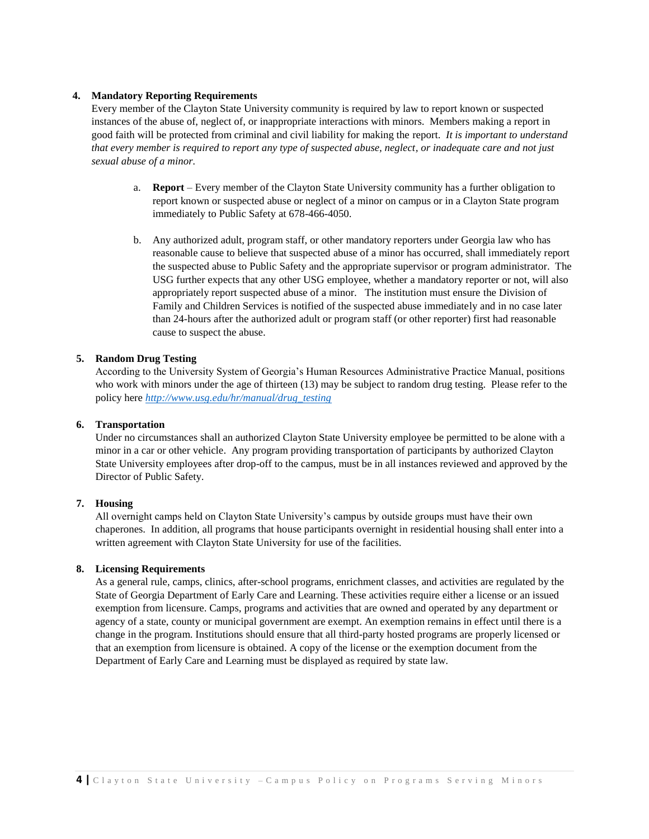#### **4. Mandatory Reporting Requirements**

Every member of the Clayton State University community is required by law to report known or suspected instances of the abuse of, neglect of, or inappropriate interactions with minors. Members making a report in good faith will be protected from criminal and civil liability for making the report. *It is important to understand that every member is required to report any type of suspected abuse, neglect, or inadequate care and not just sexual abuse of a minor.*

- a. **Report** Every member of the Clayton State University community has a further obligation to report known or suspected abuse or neglect of a minor on campus or in a Clayton State program immediately to Public Safety at 678-466-4050.
- b. Any authorized adult, program staff, or other mandatory reporters under Georgia law who has reasonable cause to believe that suspected abuse of a minor has occurred, shall immediately report the suspected abuse to Public Safety and the appropriate supervisor or program administrator. The USG further expects that any other USG employee, whether a mandatory reporter or not, will also appropriately report suspected abuse of a minor. The institution must ensure the Division of Family and Children Services is notified of the suspected abuse immediately and in no case later than 24-hours after the authorized adult or program staff (or other reporter) first had reasonable cause to suspect the abuse.

#### **5. Random Drug Testing**

According to the University System of Georgia's Human Resources Administrative Practice Manual, positions who work with minors under the age of thirteen (13) may be subject to random drug testing. Please refer to the policy here *[http://www.usg.edu/hr/manual/drug\\_testing](http://www.usg.edu/hr/manual/drug_testing)*

#### **6. Transportation**

Under no circumstances shall an authorized Clayton State University employee be permitted to be alone with a minor in a car or other vehicle. Any program providing transportation of participants by authorized Clayton State University employees after drop-off to the campus, must be in all instances reviewed and approved by the Director of Public Safety.

#### **7. Housing**

All overnight camps held on Clayton State University's campus by outside groups must have their own chaperones. In addition, all programs that house participants overnight in residential housing shall enter into a written agreement with Clayton State University for use of the facilities.

#### **8. Licensing Requirements**

As a general rule, camps, clinics, after-school programs, enrichment classes, and activities are regulated by the State of Georgia Department of Early Care and Learning. These activities require either a license or an issued exemption from licensure. Camps, programs and activities that are owned and operated by any department or agency of a state, county or municipal government are exempt. An exemption remains in effect until there is a change in the program. Institutions should ensure that all third-party hosted programs are properly licensed or that an exemption from licensure is obtained. A copy of the license or the exemption document from the Department of Early Care and Learning must be displayed as required by state law.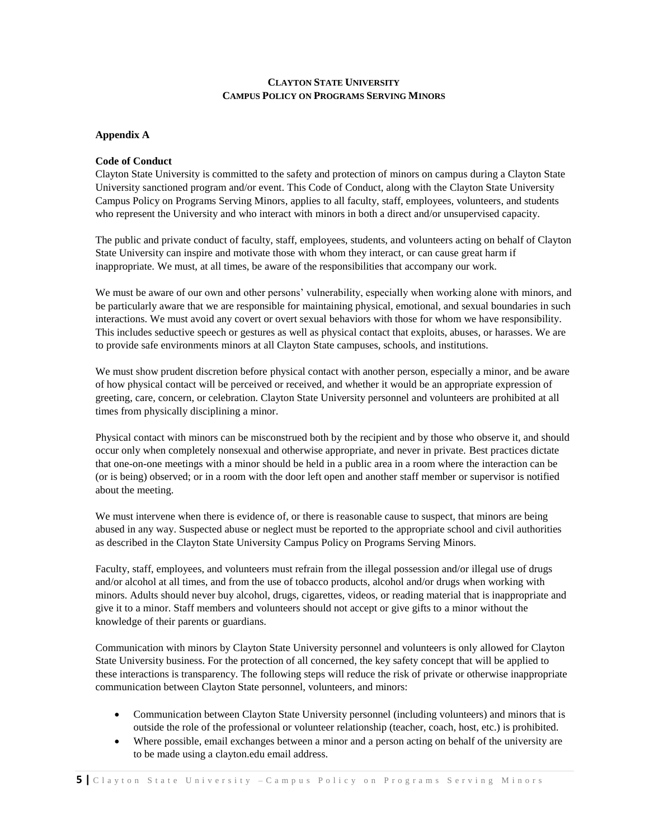## **Appendix A**

#### **Code of Conduct**

Clayton State University is committed to the safety and protection of minors on campus during a Clayton State University sanctioned program and/or event. This Code of Conduct, along with the Clayton State University Campus Policy on Programs Serving Minors, applies to all faculty, staff, employees, volunteers, and students who represent the University and who interact with minors in both a direct and/or unsupervised capacity.

The public and private conduct of faculty, staff, employees, students, and volunteers acting on behalf of Clayton State University can inspire and motivate those with whom they interact, or can cause great harm if inappropriate. We must, at all times, be aware of the responsibilities that accompany our work.

We must be aware of our own and other persons' vulnerability, especially when working alone with minors, and be particularly aware that we are responsible for maintaining physical, emotional, and sexual boundaries in such interactions. We must avoid any covert or overt sexual behaviors with those for whom we have responsibility. This includes seductive speech or gestures as well as physical contact that exploits, abuses, or harasses. We are to provide safe environments minors at all Clayton State campuses, schools, and institutions.

We must show prudent discretion before physical contact with another person, especially a minor, and be aware of how physical contact will be perceived or received, and whether it would be an appropriate expression of greeting, care, concern, or celebration. Clayton State University personnel and volunteers are prohibited at all times from physically disciplining a minor.

Physical contact with minors can be misconstrued both by the recipient and by those who observe it, and should occur only when completely nonsexual and otherwise appropriate, and never in private. Best practices dictate that one-on-one meetings with a minor should be held in a public area in a room where the interaction can be (or is being) observed; or in a room with the door left open and another staff member or supervisor is notified about the meeting.

We must intervene when there is evidence of, or there is reasonable cause to suspect, that minors are being abused in any way. Suspected abuse or neglect must be reported to the appropriate school and civil authorities as described in the Clayton State University Campus Policy on Programs Serving Minors.

Faculty, staff, employees, and volunteers must refrain from the illegal possession and/or illegal use of drugs and/or alcohol at all times, and from the use of tobacco products, alcohol and/or drugs when working with minors. Adults should never buy alcohol, drugs, cigarettes, videos, or reading material that is inappropriate and give it to a minor. Staff members and volunteers should not accept or give gifts to a minor without the knowledge of their parents or guardians.

Communication with minors by Clayton State University personnel and volunteers is only allowed for Clayton State University business. For the protection of all concerned, the key safety concept that will be applied to these interactions is transparency. The following steps will reduce the risk of private or otherwise inappropriate communication between Clayton State personnel, volunteers, and minors:

- Communication between Clayton State University personnel (including volunteers) and minors that is outside the role of the professional or volunteer relationship (teacher, coach, host, etc.) is prohibited.
- Where possible, email exchanges between a minor and a person acting on behalf of the university are to be made using a clayton.edu email address.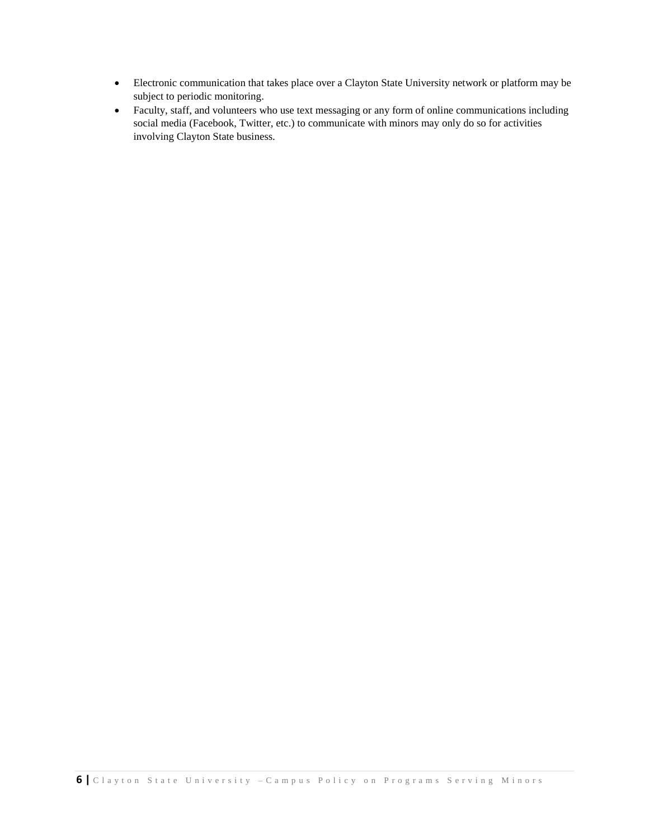- Electronic communication that takes place over a Clayton State University network or platform may be subject to periodic monitoring.
- Faculty, staff, and volunteers who use text messaging or any form of online communications including social media (Facebook, Twitter, etc.) to communicate with minors may only do so for activities involving Clayton State business.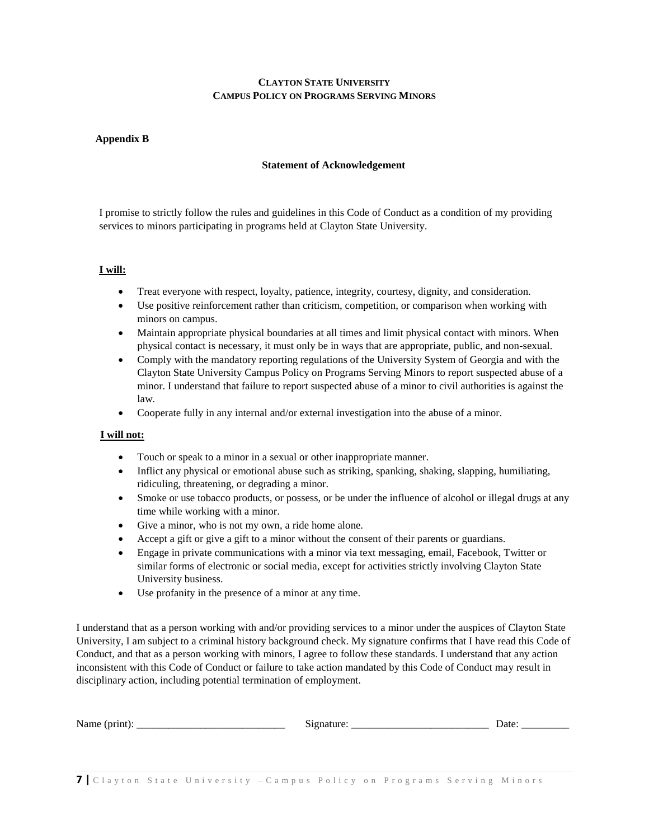## **Appendix B**

#### **Statement of Acknowledgement**

I promise to strictly follow the rules and guidelines in this Code of Conduct as a condition of my providing services to minors participating in programs held at Clayton State University.

## **I will:**

- Treat everyone with respect, loyalty, patience, integrity, courtesy, dignity, and consideration.
- Use positive reinforcement rather than criticism, competition, or comparison when working with minors on campus.
- Maintain appropriate physical boundaries at all times and limit physical contact with minors. When physical contact is necessary, it must only be in ways that are appropriate, public, and non-sexual.
- Comply with the mandatory reporting regulations of the University System of Georgia and with the Clayton State University Campus Policy on Programs Serving Minors to report suspected abuse of a minor. I understand that failure to report suspected abuse of a minor to civil authorities is against the law.
- Cooperate fully in any internal and/or external investigation into the abuse of a minor.

## **I will not:**

- Touch or speak to a minor in a sexual or other inappropriate manner.
- Inflict any physical or emotional abuse such as striking, spanking, shaking, slapping, humiliating, ridiculing, threatening, or degrading a minor.
- Smoke or use tobacco products, or possess, or be under the influence of alcohol or illegal drugs at any time while working with a minor.
- Give a minor, who is not my own, a ride home alone.
- Accept a gift or give a gift to a minor without the consent of their parents or guardians.
- Engage in private communications with a minor via text messaging, email, Facebook, Twitter or similar forms of electronic or social media, except for activities strictly involving Clayton State University business.
- Use profanity in the presence of a minor at any time.

I understand that as a person working with and/or providing services to a minor under the auspices of Clayton State University, I am subject to a criminal history background check. My signature confirms that I have read this Code of Conduct, and that as a person working with minors, I agree to follow these standards. I understand that any action inconsistent with this Code of Conduct or failure to take action mandated by this Code of Conduct may result in disciplinary action, including potential termination of employment.

| - -<br>-Ni<br>.<br>TIATIK<br>________ | ________ | --<br>---- |
|---------------------------------------|----------|------------|
|                                       | . .      |            |